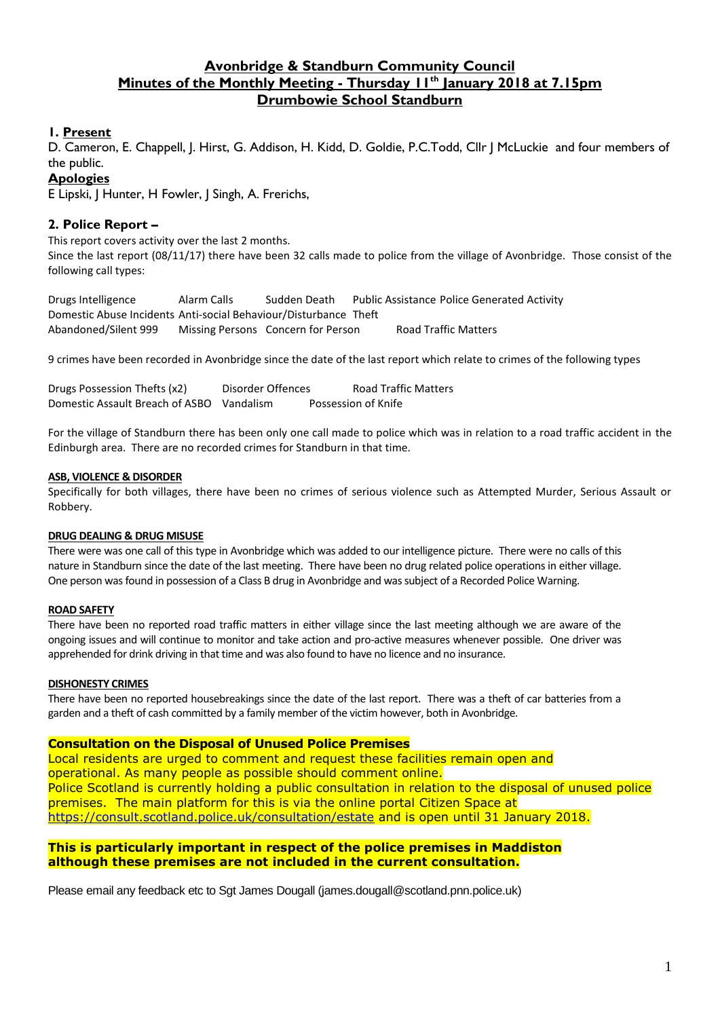## **Avonbridge & Standburn Community Council Minutes of the Monthly Meeting - Thursday 11th January 2018 at 7.15pm Drumbowie School Standburn**

#### **1. Present**

D. Cameron, E. Chappell, J. Hirst, G. Addison, H. Kidd, D. Goldie, P.C.Todd, Cllr J McLuckie and four members of the public.

#### **Apologies**

E Lipski, J Hunter, H Fowler, J Singh, A. Frerichs,

#### **2. Police Report –**

This report covers activity over the last 2 months.

Since the last report (08/11/17) there have been 32 calls made to police from the village of Avonbridge. Those consist of the following call types:

Drugs Intelligence Alarm Calls Sudden Death Public Assistance Police Generated Activity Domestic Abuse Incidents Anti-social Behaviour/Disturbance Theft Abandoned/Silent 999 Missing Persons Concern for Person Road Traffic Matters

9 crimes have been recorded in Avonbridge since the date of the last report which relate to crimes of the following types

| Drugs Possession Thefts (x2)              | Disorder Offences | <b>Road Traffic Matters</b> |
|-------------------------------------------|-------------------|-----------------------------|
| Domestic Assault Breach of ASBO Vandalism |                   | Possession of Knife         |

For the village of Standburn there has been only one call made to police which was in relation to a road traffic accident in the Edinburgh area. There are no recorded crimes for Standburn in that time.

#### **ASB, VIOLENCE & DISORDER**

Specifically for both villages, there have been no crimes of serious violence such as Attempted Murder, Serious Assault or Robbery.

#### **DRUG DEALING & DRUG MISUSE**

There were was one call of this type in Avonbridge which was added to our intelligence picture. There were no calls of this nature in Standburn since the date of the last meeting. There have been no drug related police operations in either village. One person was found in possession of a Class B drug in Avonbridge and was subject of a Recorded Police Warning.

#### **ROAD SAFETY**

There have been no reported road traffic matters in either village since the last meeting although we are aware of the ongoing issues and will continue to monitor and take action and pro-active measures whenever possible. One driver was apprehended for drink driving in that time and was also found to have no licence and no insurance.

#### **DISHONESTY CRIMES**

There have been no reported housebreakings since the date of the last report. There was a theft of car batteries from a garden and a theft of cash committed by a family member of the victim however, both in Avonbridge.

#### **Consultation on the Disposal of Unused Police Premises**

Local residents are urged to comment and request these facilities remain open and operational. As many people as possible should comment online. Police Scotland is currently holding a public consultation in relation to the disposal of unused police premises. The main platform for this is via the online portal Citizen Space at <https://consult.scotland.police.uk/consultation/estate> and is open until 31 January 2018.

#### **This is particularly important in respect of the police premises in Maddiston although these premises are not included in the current consultation.**

Please email any feedback etc to Sgt James Dougall (james.dougall@scotland.pnn.police.uk)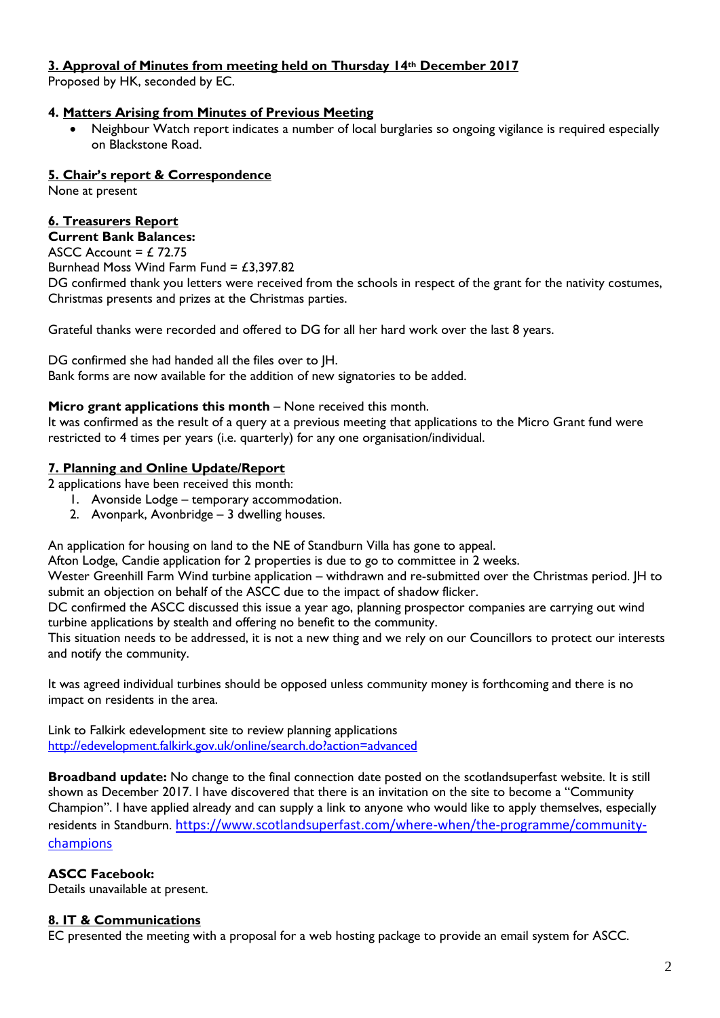## **3. Approval of Minutes from meeting held on Thursday 14th December 2017**

Proposed by HK, seconded by EC.

## **4. Matters Arising from Minutes of Previous Meeting**

 Neighbour Watch report indicates a number of local burglaries so ongoing vigilance is required especially on Blackstone Road.

## **5. Chair's report & Correspondence**

None at present

# **6. Treasurers Report**

# **Current Bank Balances:**

ASCC Account =  $£ 72.75$ Burnhead Moss Wind Farm Fund =  $£3,397.82$ 

DG confirmed thank you letters were received from the schools in respect of the grant for the nativity costumes, Christmas presents and prizes at the Christmas parties.

Grateful thanks were recorded and offered to DG for all her hard work over the last 8 years.

DG confirmed she had handed all the files over to JH. Bank forms are now available for the addition of new signatories to be added.

## **Micro grant applications this month** – None received this month.

It was confirmed as the result of a query at a previous meeting that applications to the Micro Grant fund were restricted to 4 times per years (i.e. quarterly) for any one organisation/individual.

## **7. Planning and Online Update/Report**

2 applications have been received this month:

- 1. Avonside Lodge temporary accommodation.
	- 2. Avonpark, Avonbridge 3 dwelling houses.

An application for housing on land to the NE of Standburn Villa has gone to appeal.

Afton Lodge, Candie application for 2 properties is due to go to committee in 2 weeks.

Wester Greenhill Farm Wind turbine application – withdrawn and re-submitted over the Christmas period. JH to submit an objection on behalf of the ASCC due to the impact of shadow flicker.

DC confirmed the ASCC discussed this issue a year ago, planning prospector companies are carrying out wind turbine applications by stealth and offering no benefit to the community.

This situation needs to be addressed, it is not a new thing and we rely on our Councillors to protect our interests and notify the community.

It was agreed individual turbines should be opposed unless community money is forthcoming and there is no impact on residents in the area.

Link to Falkirk edevelopment site to review planning applications <http://edevelopment.falkirk.gov.uk/online/search.do?action=advanced>

**Broadband update:** No change to the final connection date posted on the scotlandsuperfast website. It is still shown as December 2017. I have discovered that there is an invitation on the site to become a "Community Champion". I have applied already and can supply a link to anyone who would like to apply themselves, especially residents in Standburn. [https://www.scotlandsuperfast.com/where-when/the-programme/community](https://www.scotlandsuperfast.com/where-when/the-programme/community-champions)[champions](https://www.scotlandsuperfast.com/where-when/the-programme/community-champions)

## **ASCC Facebook:**

Details unavailable at present.

## **8. IT & Communications**

EC presented the meeting with a proposal for a web hosting package to provide an email system for ASCC.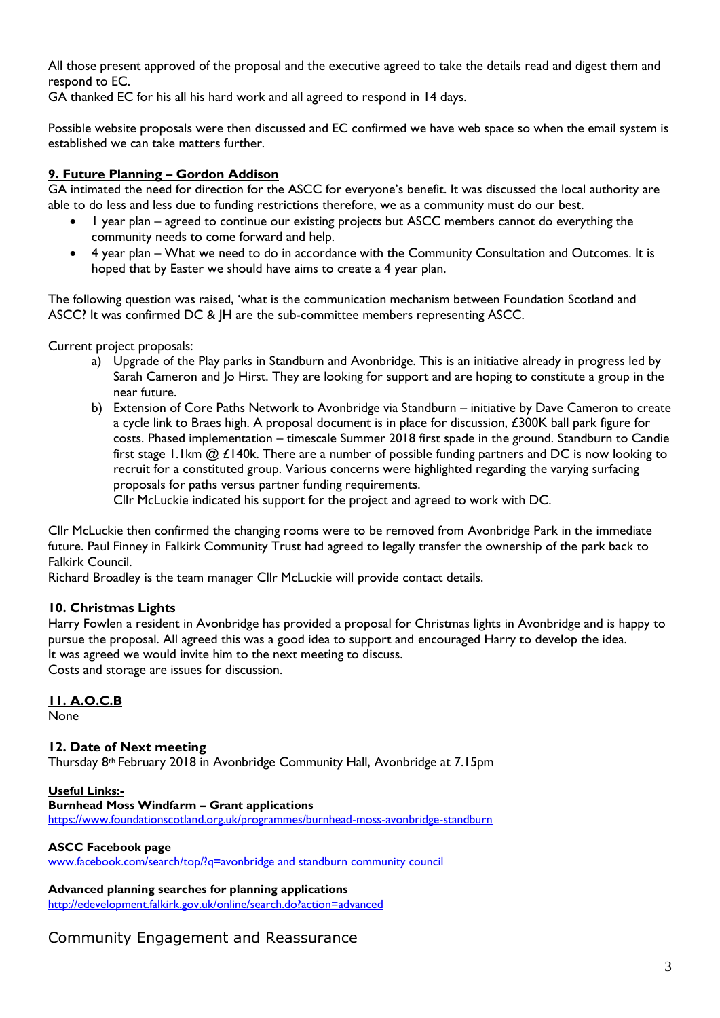All those present approved of the proposal and the executive agreed to take the details read and digest them and respond to EC.

GA thanked EC for his all his hard work and all agreed to respond in 14 days.

Possible website proposals were then discussed and EC confirmed we have web space so when the email system is established we can take matters further.

## **9. Future Planning – Gordon Addison**

GA intimated the need for direction for the ASCC for everyone's benefit. It was discussed the local authority are able to do less and less due to funding restrictions therefore, we as a community must do our best.

- I year plan agreed to continue our existing projects but ASCC members cannot do everything the community needs to come forward and help.
- 4 year plan What we need to do in accordance with the Community Consultation and Outcomes. It is hoped that by Easter we should have aims to create a 4 year plan.

The following question was raised, 'what is the communication mechanism between Foundation Scotland and ASCC? It was confirmed DC & JH are the sub-committee members representing ASCC.

Current project proposals:

- a) Upgrade of the Play parks in Standburn and Avonbridge. This is an initiative already in progress led by Sarah Cameron and Jo Hirst. They are looking for support and are hoping to constitute a group in the near future.
- b) Extension of Core Paths Network to Avonbridge via Standburn initiative by Dave Cameron to create a cycle link to Braes high. A proposal document is in place for discussion, £300K ball park figure for costs. Phased implementation – timescale Summer 2018 first spade in the ground. Standburn to Candie first stage 1.1km  $@$  £140k. There are a number of possible funding partners and DC is now looking to recruit for a constituted group. Various concerns were highlighted regarding the varying surfacing proposals for paths versus partner funding requirements.

Cllr McLuckie indicated his support for the project and agreed to work with DC.

Cllr McLuckie then confirmed the changing rooms were to be removed from Avonbridge Park in the immediate future. Paul Finney in Falkirk Community Trust had agreed to legally transfer the ownership of the park back to Falkirk Council.

Richard Broadley is the team manager Cllr McLuckie will provide contact details.

### **10. Christmas Lights**

Harry Fowlen a resident in Avonbridge has provided a proposal for Christmas lights in Avonbridge and is happy to pursue the proposal. All agreed this was a good idea to support and encouraged Harry to develop the idea. It was agreed we would invite him to the next meeting to discuss. Costs and storage are issues for discussion.

### **11. A.O.C.B**

None

### **12. Date of Next meeting**

Thursday 8th February 2018 in Avonbridge Community Hall, Avonbridge at 7.15pm

#### **Useful Links:-**

#### **Burnhead Moss Windfarm – Grant applications**

<https://www.foundationscotland.org.uk/programmes/burnhead-moss-avonbridge-standburn>

#### **ASCC Facebook page**

www.facebook.com/search/top/?q=avonbridge and standburn community council

#### **Advanced planning searches for planning applications**

<http://edevelopment.falkirk.gov.uk/online/search.do?action=advanced>

## Community Engagement and Reassurance